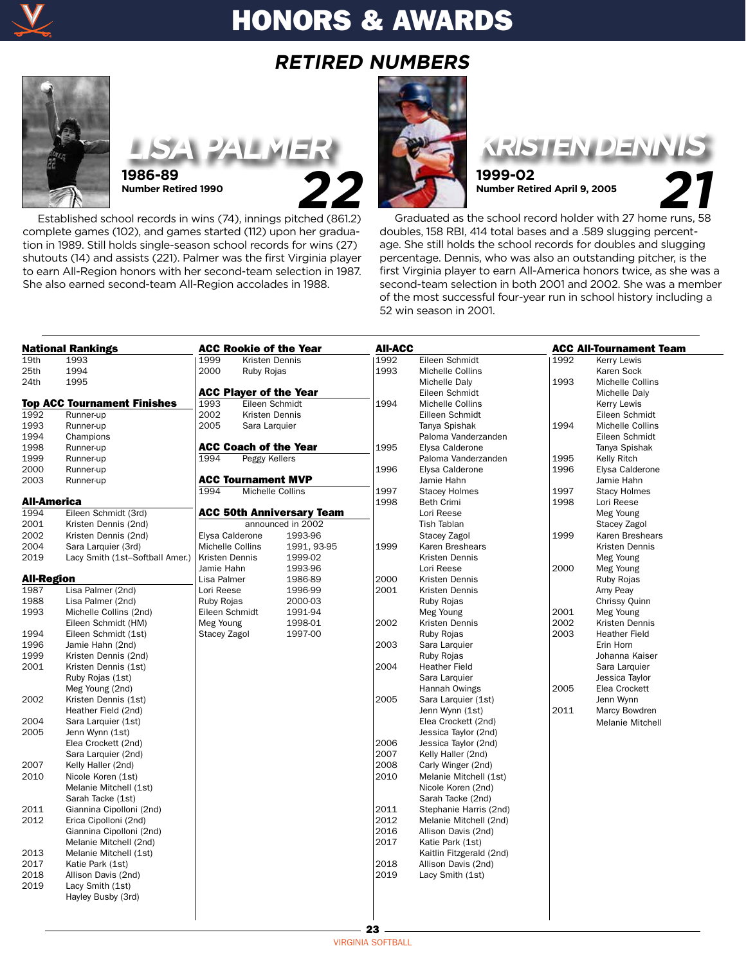

# HONORS & AWARDS

## **RETIRED NUMBERS**



**LISA PALMER 1986-89**<br>Number Retired 1990<br>**22 Number Retired 1990**

 Established school records in wins (74), innings pitched (861.2) complete games (102), and games started (112) upon her graduation in 1989. Still holds single-season school records for wins (27) shutouts (14) and assists (221). Palmer was the first Virginia player to earn All-Region honors with her second-team selection in 1987. She also earned second-team All-Region accolades in 1988.





**1999-02**<br>Number Retired April 9, 2005 **Number Retired April 9, 2005**

 Graduated as the school record holder with 27 home runs, 58 doubles, 158 RBI, 414 total bases and a .589 slugging percentage. She still holds the school records for doubles and slugging percentage. Dennis, who was also an outstanding pitcher, is the first Virginia player to earn All-America honors twice, as she was a second-team selection in both 2001 and 2002. She was a member of the most successful four-year run in school history including a 52 win season in 2001.

| <b>National Rankings</b> |                                    | <b>ACC Rookie of the Year</b> |                           |                                  |                   | <b>AII-ACC</b>           |            | <b>ACC All-Tournament Team</b> |  |
|--------------------------|------------------------------------|-------------------------------|---------------------------|----------------------------------|-------------------|--------------------------|------------|--------------------------------|--|
| 19th                     | 1993                               | 1999                          | Kristen Dennis            |                                  | 1992              | Eileen Schmidt           | 1992       | Kerry Lewis                    |  |
| 25th                     | 1994                               | 2000                          | <b>Ruby Rojas</b>         |                                  | 1993              | Michelle Collins         |            | Karen Sock                     |  |
| 24th                     | 1995                               |                               |                           |                                  |                   | Michelle Daly            | 1993       | Michelle Collins               |  |
|                          |                                    |                               |                           | <b>ACC Player of the Year</b>    |                   | Eileen Schmidt           |            | Michelle Daly                  |  |
|                          | <b>Top ACC Tournament Finishes</b> | 1993                          | Eileen Schmidt            |                                  | 1994              | Michelle Collins         |            | Kerry Lewis                    |  |
| 1992                     | Runner-up                          | 2002                          | Kristen Dennis            |                                  |                   | Eilleen Schmidt          |            | Eileen Schmidt                 |  |
| 1993                     | Runner-up                          | 2005                          | Sara Larquier             |                                  |                   | Tanya Spishak            | 1994       | Michelle Collins               |  |
| 1994                     | Champions                          |                               |                           |                                  |                   | Paloma Vanderzanden      |            | Eileen Schmidt                 |  |
| 1998                     | Runner-up                          |                               |                           | <b>ACC Coach of the Year</b>     | 1995              | Elysa Calderone          |            | Tanya Spishak                  |  |
| 1999                     | Runner-up                          | 1994                          | Peggy Kellers             |                                  |                   | Paloma Vanderzanden      | 1995       | Kelly Ritch                    |  |
| 2000                     | Runner-up                          |                               |                           |                                  | 1996              | Elysa Calderone          | 1996       | Elysa Calderone                |  |
| 2003                     | Runner-up                          |                               | <b>ACC Tournament MVP</b> |                                  |                   | Jamie Hahn               |            | Jamie Hahn                     |  |
|                          |                                    | 1994                          | Michelle Collins          |                                  | 1997              | <b>Stacey Holmes</b>     | 1997       | <b>Stacy Holmes</b>            |  |
| All-America              |                                    |                               |                           | 1998                             | <b>Beth Crimi</b> | 1998                     | Lori Reese |                                |  |
| 1994                     | Eileen Schmidt (3rd)               |                               |                           | <b>ACC 50th Anniversary Team</b> |                   | Lori Reese               |            | Meg Young                      |  |
| 2001                     | Kristen Dennis (2nd)               |                               |                           | announced in 2002                |                   | <b>Tish Tablan</b>       |            | Stacey Zagol                   |  |
| 2002                     | Kristen Dennis (2nd)               | Elysa Calderone               |                           | 1993-96                          |                   | Stacey Zagol             | 1999       | Karen Breshears                |  |
| 2004                     | Sara Larquier (3rd)                | Michelle Collins              |                           | 1991, 93-95                      | 1999              | Karen Breshears          |            | Kristen Dennis                 |  |
| 2019                     | Lacy Smith (1st-Softball Amer.)    | Kristen Dennis                |                           | 1999-02                          |                   | Kristen Dennis           |            | Meg Young                      |  |
|                          |                                    | Jamie Hahn                    |                           | 1993-96                          |                   | Lori Reese               | 2000       | Meg Young                      |  |
| All-Region               |                                    | Lisa Palmer                   |                           | 1986-89                          | 2000              | Kristen Dennis           |            | <b>Ruby Rojas</b>              |  |
| 1987                     | Lisa Palmer (2nd)                  | Lori Reese                    |                           | 1996-99                          | 2001              | Kristen Dennis           |            | Amy Peay                       |  |
| 1988                     | Lisa Palmer (2nd)                  | Ruby Rojas                    |                           | 2000-03                          |                   | Ruby Rojas               |            | Chrissy Quinn                  |  |
| 1993                     | Michelle Collins (2nd)             | Eileen Schmidt                |                           | 1991-94                          |                   | Meg Young                | 2001       | Meg Young                      |  |
|                          | Eileen Schmidt (HM)                | Meg Young                     |                           | 1998-01                          | 2002              | Kristen Dennis           | 2002       | Kristen Dennis                 |  |
| 1994                     | Eileen Schmidt (1st)               | Stacey Zagol                  |                           | 1997-00                          |                   | <b>Ruby Rojas</b>        | 2003       | <b>Heather Field</b>           |  |
| 1996                     | Jamie Hahn (2nd)                   |                               |                           |                                  | 2003              | Sara Larquier            |            | Erin Horn                      |  |
| 1999                     | Kristen Dennis (2nd)               |                               |                           |                                  |                   | Ruby Rojas               |            | Johanna Kaiser                 |  |
| 2001                     | Kristen Dennis (1st)               |                               |                           |                                  | 2004              | <b>Heather Field</b>     |            | Sara Larquier                  |  |
|                          | Ruby Rojas (1st)                   |                               |                           |                                  |                   | Sara Larquier            |            | Jessica Taylor                 |  |
|                          | Meg Young (2nd)                    |                               |                           |                                  |                   | Hannah Owings            | 2005       | Elea Crockett                  |  |
| 2002                     | Kristen Dennis (1st)               |                               |                           |                                  | 2005              | Sara Larquier (1st)      |            | Jenn Wynn                      |  |
|                          | Heather Field (2nd)                |                               |                           |                                  |                   | Jenn Wynn (1st)          | 2011       | Marcy Bowdren                  |  |
| 2004                     | Sara Larquier (1st)                |                               |                           |                                  |                   | Elea Crockett (2nd)      |            | Melanie Mitchell               |  |
| 2005                     | Jenn Wynn (1st)                    |                               |                           |                                  |                   | Jessica Taylor (2nd)     |            |                                |  |
|                          | Elea Crockett (2nd)                |                               |                           |                                  | 2006              | Jessica Taylor (2nd)     |            |                                |  |
|                          | Sara Larquier (2nd)                |                               |                           |                                  | 2007              | Kelly Haller (2nd)       |            |                                |  |
| 2007                     | Kelly Haller (2nd)                 |                               |                           |                                  | 2008              | Carly Winger (2nd)       |            |                                |  |
| 2010                     | Nicole Koren (1st)                 |                               |                           |                                  | 2010              | Melanie Mitchell (1st)   |            |                                |  |
|                          | Melanie Mitchell (1st)             |                               |                           |                                  |                   | Nicole Koren (2nd)       |            |                                |  |
|                          | Sarah Tacke (1st)                  |                               |                           |                                  |                   | Sarah Tacke (2nd)        |            |                                |  |
| 2011                     | Giannina Cipolloni (2nd)           |                               |                           |                                  | 2011              | Stephanie Harris (2nd)   |            |                                |  |
| 2012                     | Erica Cipolloni (2nd)              |                               |                           |                                  | 2012              | Melanie Mitchell (2nd)   |            |                                |  |
|                          | Giannina Cipolloni (2nd)           |                               |                           |                                  | 2016              | Allison Davis (2nd)      |            |                                |  |
|                          | Melanie Mitchell (2nd)             |                               |                           |                                  | 2017              | Katie Park (1st)         |            |                                |  |
| 2013                     | Melanie Mitchell (1st)             |                               |                           |                                  |                   | Kaitlin Fitzgerald (2nd) |            |                                |  |
| 2017                     | Katie Park (1st)                   |                               |                           |                                  | 2018              | Allison Davis (2nd)      |            |                                |  |
| 2018                     | Allison Davis (2nd)                |                               |                           |                                  | 2019              | Lacy Smith (1st)         |            |                                |  |
| 2019                     | Lacy Smith (1st)                   |                               |                           |                                  |                   |                          |            |                                |  |
|                          | Hayley Busby (3rd)                 |                               |                           |                                  |                   |                          |            |                                |  |
|                          |                                    |                               |                           |                                  |                   |                          |            |                                |  |